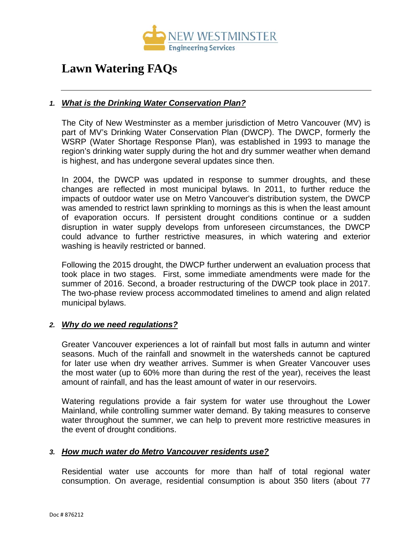

# **Lawn Watering FAQs**

# *1. [What is the Drinking Water Conservation Plan?](https://www.burnaby.ca/City-Services/Water---Sewers/Water-Conservation/Sprinkling-Restrictions/Lawn-Sprinkling-FAQs.html?PageMode=Print)*

The City of New Westminster as a member jurisdiction of Metro Vancouver (MV) is part of MV's Drinking Water Conservation Plan [\(DWCP\).](http://www.metrovancouver.org/services/water/WaterPublications/WaterShortageResponsePlanFeb2016.pdf) The DWCP, formerly the WSRP (Water Shortage Response Plan), was established in 1993 to manage the region's drinking water supply during the hot and dry summer weather when demand is highest, and has undergone several updates since then.

In 2004, the DWCP was updated in response to summer droughts, and these changes are reflected in most municipal bylaws. In 2011, to further reduce the impacts of outdoor water use on Metro Vancouver's distribution system, the DWCP was amended to restrict lawn sprinkling to mornings as this is when the least amount of evaporation occurs. If persistent drought conditions continue or a sudden disruption in water supply develops from unforeseen circumstances, the DWCP could advance to further restrictive measures, in which watering and exterior washing is heavily restricted or banned.

Following the 2015 drought, the DWCP further underwent an evaluation process that took place in two stages. First, some immediate amendments were made for the summer of 2016. Second, a broader restructuring of the DWCP took place in 2017. The two-phase review process accommodated timelines to amend and align related municipal bylaws.

#### *2. [Why do we need regulations?](https://www.burnaby.ca/City-Services/Water---Sewers/Water-Conservation/Sprinkling-Restrictions/Lawn-Sprinkling-FAQs.html?PageMode=Print)*

Greater Vancouver experiences a lot of rainfall but most falls in autumn and winter seasons. Much of the rainfall and snowmelt in the watersheds cannot be captured for later use when dry weather arrives. Summer is when Greater Vancouver uses the most water (up to 60% more than during the rest of the year), receives the least amount of rainfall, and has the least amount of water in our reservoirs.

Watering regulations provide a fair system for water use throughout the Lower Mainland, while controlling summer water demand. By taking measures to conserve water throughout the summer, we can help to prevent more restrictive measures in the event of drought conditions.

# *3. How much water do [Metro Vancouver residents](https://www.burnaby.ca/City-Services/Water---Sewers/Water-Conservation/Sprinkling-Restrictions/Lawn-Sprinkling-FAQs.html?PageMode=Print) use?*

Residential water use accounts for more than half of total regional water consumption. On average, residential consumption is about 350 liters (about 77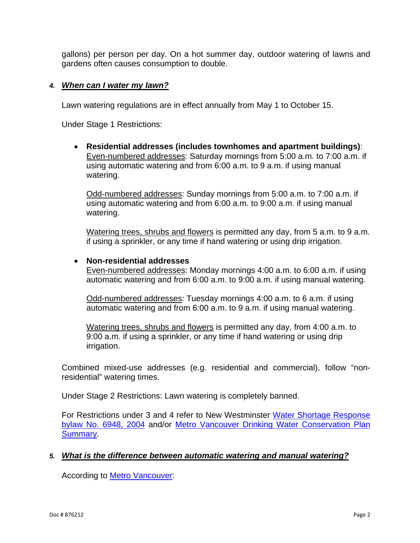gallons) per person per day. On a hot summer day, outdoor watering of lawns and gardens often causes consumption to double.

#### *4. [When can I water my lawn?](https://www.burnaby.ca/City-Services/Water---Sewers/Water-Conservation/Sprinkling-Restrictions/Lawn-Sprinkling-FAQs.html?PageMode=Print)*

Lawn watering regulations are in effect annually from May 1 to October 15.

Under Stage 1 Restrictions:

• **Residential addresses (includes townhomes and apartment buildings)**: Even-numbered addresses: Saturday mornings from 5:00 a.m. to 7:00 a.m. if using automatic watering and from 6:00 a.m. to 9 a.m. if using manual watering.

Odd-numbered addresses: Sunday mornings from 5:00 a.m. to 7:00 a.m. if using automatic watering and from 6:00 a.m. to 9:00 a.m. if using manual watering.

Watering trees, shrubs and flowers is permitted any day, from 5 a.m. to 9 a.m. if using a sprinkler, or any time if hand watering or using drip irrigation.

#### • **Non-residential addresses**

Even-numbered addresses: Monday mornings 4:00 a.m. to 6:00 a.m. if using automatic watering and from 6:00 a.m. to 9:00 a.m. if using manual watering.

Odd-numbered addresses: Tuesday mornings 4:00 a.m. to 6 a.m. if using automatic watering and from 6:00 a.m. to 9 a.m. if using manual watering.

Watering trees, shrubs and flowers is permitted any day, from 4:00 a.m. to 9:00 a.m. if using a sprinkler, or any time if hand watering or using drip irrigation.

Combined mixed-use addresses (e.g. residential and commercial), follow "nonresidential" watering times.

Under Stage 2 Restrictions: Lawn watering is completely banned.

For Restrictions under 3 and 4 refer to New Westminster [Water Shortage Response](https://www.newwestcity.ca/database/files/library/Consolidated_Bylaw_6948__2004_Water_Shortage_Response.pdf)  [bylaw No. 6948, 2004](https://www.newwestcity.ca/database/files/library/Consolidated_Bylaw_6948__2004_Water_Shortage_Response.pdf) and/or [Metro Vancouver Drinking Water Conservation Plan](http://www.metrovancouver.org/services/water/WaterPublications/DrinkingWaterConservationPlanSummary.pdf)  **Summary** 

#### *5. What is the difference between automatic watering and manual watering?*

According to [Metro Vancouver:](http://www.metrovancouver.org/services/water/WaterPublications/DrinkingWaterConservationPlan.pdf)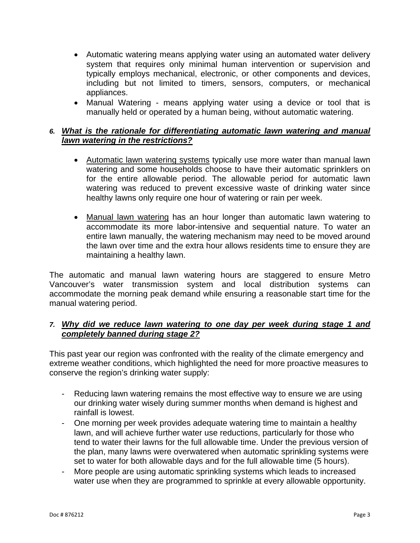- Automatic watering means applying water using an automated water delivery system that requires only minimal human intervention or supervision and typically employs mechanical, electronic, or other components and devices, including but not limited to timers, sensors, computers, or mechanical appliances.
- Manual Watering means applying water using a device or tool that is manually held or operated by a human being, without automatic watering.

# *6. What is the rationale for differentiating automatic lawn watering and manual lawn watering in the restrictions?*

- Automatic lawn watering systems typically use more water than manual lawn watering and some households choose to have their automatic sprinklers on for the entire allowable period. The allowable period for automatic lawn watering was reduced to prevent excessive waste of drinking water since healthy lawns only require one hour of watering or rain per week.
- Manual lawn watering has an hour longer than automatic lawn watering to accommodate its more labor-intensive and sequential nature. To water an entire lawn manually, the watering mechanism may need to be moved around the lawn over time and the extra hour allows residents time to ensure they are maintaining a healthy lawn.

The automatic and manual lawn watering hours are staggered to ensure Metro Vancouver's water transmission system and local distribution systems can accommodate the morning peak demand while ensuring a reasonable start time for the manual watering period.

# *7. Why did we reduce lawn watering to one day per week during stage 1 and completely banned during stage 2?*

This past year our region was confronted with the reality of the climate emergency and extreme weather conditions, which highlighted the need for more proactive measures to conserve the region's drinking water supply:

- Reducing lawn watering remains the most effective way to ensure we are using our drinking water wisely during summer months when demand is highest and rainfall is lowest.
- One morning per week provides adequate watering time to maintain a healthy lawn, and will achieve further water use reductions, particularly for those who tend to water their lawns for the full allowable time. Under the previous version of the plan, many lawns were overwatered when automatic sprinkling systems were set to water for both allowable days and for the full allowable time (5 hours).
- More people are using automatic sprinkling systems which leads to increased water use when they are programmed to sprinkle at every allowable opportunity.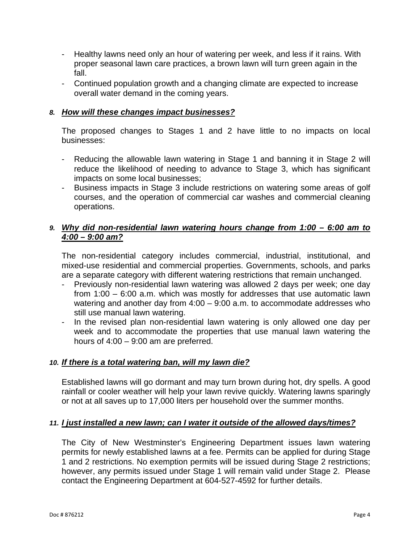- Healthy lawns need only an hour of watering per week, and less if it rains. With proper seasonal lawn care practices, a brown lawn will turn green again in the fall.
- Continued population growth and a changing climate are expected to increase overall water demand in the coming years.

# *8. How will these changes impact businesses?*

The proposed changes to Stages 1 and 2 have little to no impacts on local businesses:

- Reducing the allowable lawn watering in Stage 1 and banning it in Stage 2 will reduce the likelihood of needing to advance to Stage 3, which has significant impacts on some local businesses;
- Business impacts in Stage 3 include restrictions on watering some areas of golf courses, and the operation of commercial car washes and commercial cleaning operations.

# *9. Why did non-residential lawn watering hours change from 1:00 – 6:00 am to 4:00 – 9:00 am?*

The non-residential category includes commercial, industrial, institutional, and mixed-use residential and commercial properties. Governments, schools, and parks are a separate category with different watering restrictions that remain unchanged.

- Previously non-residential lawn watering was allowed 2 days per week; one day from 1:00 – 6:00 a.m. which was mostly for addresses that use automatic lawn watering and another day from 4:00 – 9:00 a.m. to accommodate addresses who still use manual lawn watering.
- In the revised plan non-residential lawn watering is only allowed one day per week and to accommodate the properties that use manual lawn watering the hours of 4:00 – 9:00 am are preferred.

# *10. If there is a total watering [ban, will my lawn die?](https://www.burnaby.ca/City-Services/Water---Sewers/Water-Conservation/Sprinkling-Restrictions/Lawn-Sprinkling-FAQs.html?PageMode=Print)*

Established lawns will go dormant and may turn brown during hot, dry spells. A good rainfall or cooler weather will help your lawn revive quickly. Watering lawns sparingly or not at all saves up to 17,000 liters per household over the summer months.

# *11. [I just installed a new lawn; can I water it outside of the allowed days/times?](https://www.burnaby.ca/City-Services/Water---Sewers/Water-Conservation/Sprinkling-Restrictions/Lawn-Sprinkling-FAQs.html?PageMode=Print)*

The City of New Westminster's Engineering Department issues lawn watering permits for newly established lawns at a fee. Permits can be applied for during Stage 1 and 2 restrictions. No exemption permits will be issued during Stage 2 restrictions; however, any permits issued under Stage 1 will remain valid under Stage 2. Please contact the Engineering Department at 604-527-4592 for further details.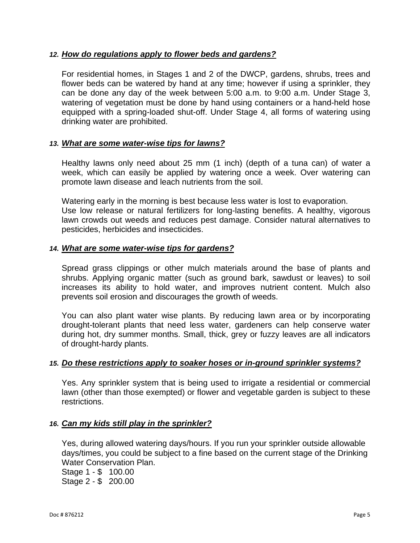## *12. [How do regulations apply to flower beds and gardens?](https://www.burnaby.ca/City-Services/Water---Sewers/Water-Conservation/Sprinkling-Restrictions/Lawn-Sprinkling-FAQs.html?PageMode=Print)*

For residential homes, in Stages 1 and 2 of the DWCP, gardens, shrubs, trees and flower beds can be watered by hand at any time; however if using a sprinkler, they can be done any day of the week between 5:00 a.m. to 9:00 a.m. Under Stage 3, watering of vegetation must be done by hand using containers or a hand-held hose equipped with a spring-loaded shut-off. Under Stage 4, all forms of watering using drinking water are prohibited.

#### *13. What are some water-wise tips for lawns?*

Healthy lawns only need about 25 mm (1 inch) (depth of a tuna can) of water a week, which can easily be applied by watering once a week. Over watering can promote lawn disease and leach nutrients from the soil.

Watering early in the morning is best because less water is lost to evaporation. Use low release or natural fertilizers for long-lasting benefits. A healthy, vigorous lawn crowds out weeds and reduces pest damage. Consider natural alternatives to pesticides, herbicides and insecticides.

#### *14. [What are some water-wise tips for gardens?](https://www.burnaby.ca/City-Services/Water---Sewers/Water-Conservation/Sprinkling-Restrictions/Lawn-Sprinkling-FAQs.html?PageMode=Print)*

Spread grass clippings or other mulch materials around the base of plants and shrubs. Applying organic matter (such as ground bark, sawdust or leaves) to soil increases its ability to hold water, and improves nutrient content. Mulch also prevents soil erosion and discourages the growth of weeds.

You can also plant water wise plants. By reducing lawn area or by incorporating drought-tolerant plants that need less water, gardeners can help conserve water during hot, dry summer months. Small, thick, grey or fuzzy leaves are all indicators of drought-hardy plants.

#### *15. [Do these restrictions apply to soaker hoses or in-ground sprinkler systems?](https://www.burnaby.ca/City-Services/Water---Sewers/Water-Conservation/Sprinkling-Restrictions/Lawn-Sprinkling-FAQs.html?PageMode=Print)*

Yes. Any sprinkler system that is being used to irrigate a residential or commercial lawn (other than those exempted) or flower and vegetable garden is subject to these restrictions.

#### *16. [Can my kids still play in the sprinkler?](https://www.burnaby.ca/City-Services/Water---Sewers/Water-Conservation/Sprinkling-Restrictions/Lawn-Sprinkling-FAQs.html?PageMode=Print)*

Yes, during allowed watering days/hours. If you run your sprinkler outside allowable days/times, you could be subject to a fine based on the current stage of the Drinking Water Conservation Plan. Stage 1 - \$ 100.00 Stage 2 - \$ 200.00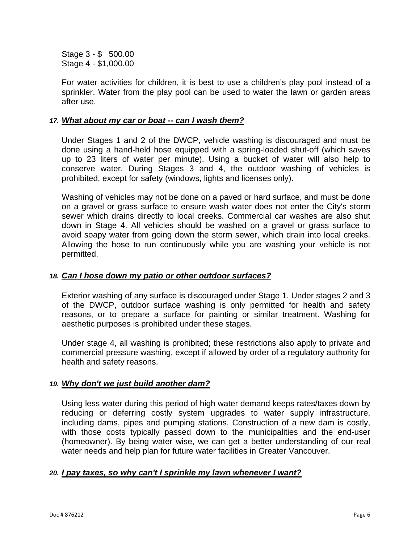Stage 3 - \$ 500.00 Stage 4 - \$1,000.00

For water activities for children, it is best to use a children's play pool instead of a sprinkler. Water from the play pool can be used to water the lawn or garden areas after use.

#### *17. [What about my car or boat --](https://www.burnaby.ca/City-Services/Water---Sewers/Water-Conservation/Sprinkling-Restrictions/Lawn-Sprinkling-FAQs.html?PageMode=Print) can I wash them?*

Under Stages 1 and 2 of the DWCP, vehicle washing is discouraged and must be done using a hand-held hose equipped with a spring-loaded shut-off (which saves up to 23 liters of water per minute). Using a bucket of water will also help to conserve water. During Stages 3 and 4, the outdoor washing of vehicles is prohibited, except for safety (windows, lights and licenses only).

Washing of vehicles may not be done on a paved or hard surface, and must be done on a gravel or grass surface to ensure wash water does not enter the City's storm sewer which drains directly to local creeks. Commercial car washes are also shut down in Stage 4. All vehicles should be washed on a gravel or grass surface to avoid soapy water from going down the storm sewer, which drain into local creeks. Allowing the hose to run continuously while you are washing your vehicle is not permitted.

## *18. [Can I hose down my patio or other outdoor surfaces?](https://www.burnaby.ca/City-Services/Water---Sewers/Water-Conservation/Sprinkling-Restrictions/Lawn-Sprinkling-FAQs.html?PageMode=Print)*

Exterior washing of any surface is discouraged under Stage 1. Under stages 2 and 3 of the DWCP, outdoor surface washing is only permitted for health and safety reasons, or to prepare a surface for painting or similar treatment. Washing for aesthetic purposes is prohibited under these stages.

Under stage 4, all washing is prohibited; these restrictions also apply to private and commercial pressure washing, except if allowed by order of a regulatory authority for health and safety reasons.

# *19. [Why don't we just build another dam?](https://www.burnaby.ca/City-Services/Water---Sewers/Water-Conservation/Sprinkling-Restrictions/Lawn-Sprinkling-FAQs.html?PageMode=Print)*

Using less water during this period of high water demand keeps rates/taxes down by reducing or deferring costly system upgrades to water supply infrastructure, including dams, pipes and pumping stations. Construction of a new dam is costly, with those costs typically passed down to the municipalities and the end-user (homeowner). By being water wise, we can get a better understanding of our real water needs and help plan for future water facilities in Greater Vancouver.

# *20. [I pay taxes, so why can't I sprinkle my lawn whenever I want?](https://www.burnaby.ca/City-Services/Water---Sewers/Water-Conservation/Sprinkling-Restrictions/Lawn-Sprinkling-FAQs.html?PageMode=Print)*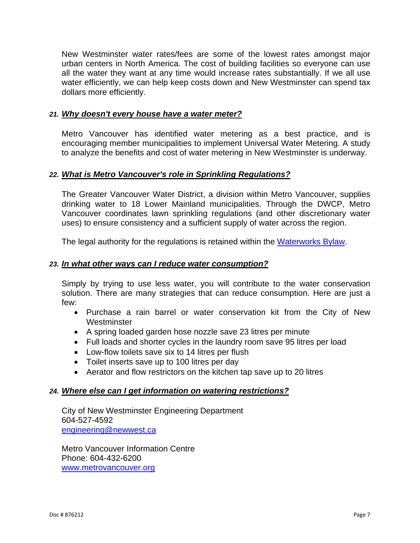New Westminster water rates/fees are some of the lowest rates amongst major urban centers in North America. The cost of building facilities so everyone can use all the water they want at any time would increase rates substantially. If we all use water efficiently, we can help keep costs down and New Westminster can spend tax dollars more efficiently.

#### *21. [Why doesn't every house have a water meter?](https://www.burnaby.ca/City-Services/Water---Sewers/Water-Conservation/Sprinkling-Restrictions/Lawn-Sprinkling-FAQs.html?PageMode=Print)*

Metro Vancouver has identified water metering as a best practice, and is encouraging member municipalities to implement Universal Water Metering. A study to analyze the benefits and cost of water metering in New Westminster is underway.

#### *22. [What is Metro Vancouver's role in Sprinkling Regulations?](https://www.burnaby.ca/City-Services/Water---Sewers/Water-Conservation/Sprinkling-Restrictions/Lawn-Sprinkling-FAQs.html?PageMode=Print)*

The Greater Vancouver Water District, a division within Metro Vancouver, supplies drinking water to 18 Lower Mainland municipalities. Through the DWCP, Metro Vancouver coordinates lawn sprinkling regulations (and other discretionary water uses) to ensure consistency and a sufficient supply of water across the region.

The legal authority for the regulations is retained within the [Waterworks Bylaw.](https://burnaby.civicweb.net/Documents/DocumentList.aspx?ID=9913)

#### *23. [In what other ways can I reduce water consumption?](https://www.burnaby.ca/City-Services/Water---Sewers/Water-Conservation/Sprinkling-Restrictions/Lawn-Sprinkling-FAQs.html?PageMode=Print)*

Simply by trying to use less water, you will contribute to the water conservation solution. There are many strategies that can reduce consumption. Here are just a few:

- Purchase a rain barrel or water conservation kit from the City of New **Westminster**
- A spring loaded garden hose nozzle save 23 litres per minute
- Full loads and shorter cycles in the laundry room save 95 litres per load
- Low-flow toilets save six to 14 litres per flush
- Toilet inserts save up to 100 litres per day
- Aerator and flow restrictors on the kitchen tap save up to 20 litres

#### *24. [Where else can I get information on watering restrictions?](https://www.burnaby.ca/City-Services/Water---Sewers/Water-Conservation/Sprinkling-Restrictions/Lawn-Sprinkling-FAQs.html?PageMode=Print)*

City of New Westminster Engineering Department 604-527-4592 [engineering@newwest.ca](mailto:engineering@newwest.ca)

Metro Vancouver Information Centre Phone: 604-432-6200 [www.metrovancouver.org](http://www.metrovancouver.org/)